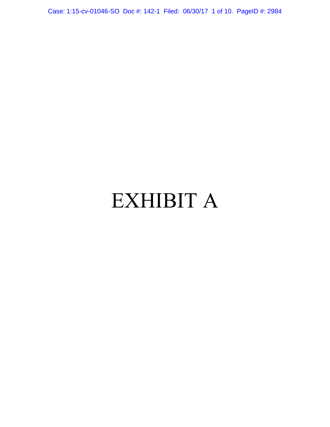Case: 1:15-cv-01046-SO Doc #: 142-1 Filed: 06/30/17 1 of 10. PageID #: 2984

# EXHIBIT A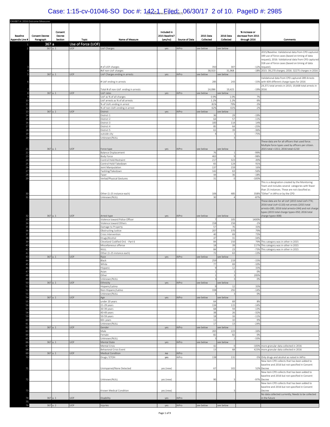# Case: 1:15-cv-01046-SO Doc #: 142-1 Filed: 06/30/17 2 of 10. PageID #: 2985

| <b>Baseline</b><br>Appendix Line # | EXHIBIT A: 2016 Outcome Measures<br><b>Consent Decree</b><br>Paragraph | Consent<br>Decree<br>Section | <b>Topic</b>       | Name of Measure                                      | Included in<br>2015 Baseline?<br>(yes/no) | Source of Data | <b>2015 Data</b><br>Collected | <b>2016 Data</b><br>Collected | % increase or<br>decrease from 2015<br>through 2016 | <b>Comments</b>                                                                                                                                                                                                               |
|------------------------------------|------------------------------------------------------------------------|------------------------------|--------------------|------------------------------------------------------|-------------------------------------------|----------------|-------------------------------|-------------------------------|-----------------------------------------------------|-------------------------------------------------------------------------------------------------------------------------------------------------------------------------------------------------------------------------------|
|                                    | 367 a                                                                  |                              | Use of Force (UOF) |                                                      |                                           |                |                               |                               |                                                     |                                                                                                                                                                                                                               |
|                                    |                                                                        | 367 a. 1                     | <b>UOF</b>         | UoF Charges                                          | yes                                       | <b>IAPro</b>   | see below                     | see below                     |                                                     |                                                                                                                                                                                                                               |
|                                    |                                                                        |                              |                    | # of UOF charges                                     |                                           |                | 350                           | 307                           | $-12%$                                              | 2015/Baseline: Validational data from CPD captured<br>349 use of force cases (based on timing of data<br>request); 2016: Validational data from CPD captured<br>318 use of force cases (based on timing of data<br>request).  |
|                                    | 367 a. 1                                                               |                              | <b>UOF</b>         | #of non-UoF charges<br>UoF Charges ending in arrests | yes                                       | IAPro          | 38,920<br>see below           | 31,968<br>see below           | $-18%$                                              | 2015: 39,270 charges; 2016: 32275 charges in 2016                                                                                                                                                                             |
|                                    |                                                                        |                              |                    |                                                      |                                           |                |                               |                               |                                                     | Validational data from CPD captured 289 Arrests                                                                                                                                                                               |
|                                    |                                                                        |                              |                    | # UoF ending in arrests                              |                                           |                | 285                           | 243                           | $-15%$                                              | with 609 different charge types for 2016<br>24,371 total arrests in 2015; 19,668 total arrests in                                                                                                                             |
|                                    |                                                                        |                              |                    | Total # of non-UoF ending in arrests                 |                                           |                | 24,086                        | 19,425                        | $-19%$                                              | 2016                                                                                                                                                                                                                          |
|                                    |                                                                        | 367 a. 1                     | <b>UOF</b>         | UoF rates<br>UoF as % of all charges                 | yes                                       | IAPro          | see below<br>0.9%             | ee below<br>1.0%              | 7%                                                  |                                                                                                                                                                                                                               |
|                                    |                                                                        |                              |                    | UoF arrests as % of all arrests                      |                                           |                | 1.2%                          | 1.2%                          | 6%                                                  |                                                                                                                                                                                                                               |
| 11                                 |                                                                        |                              |                    | % of UoFs ending in arrest                           |                                           |                | 81%                           | 79%                           | $-3%$                                               |                                                                                                                                                                                                                               |
| 12                                 |                                                                        |                              |                    | % of non-UoFs ending in arrest                       |                                           |                | 62%                           | 61%                           | $-2%$                                               |                                                                                                                                                                                                                               |
| 13                                 | 367                                                                    | a.1                          | <b>UOF</b>         | District                                             | yes                                       | <b>IAPro</b>   | see below                     | ee below                      |                                                     |                                                                                                                                                                                                                               |
| 14<br>15                           |                                                                        |                              |                    | District 1<br>District 2                             |                                           |                | 36<br>64                      | 29<br>57                      | $-19%$<br>$-11%$                                    |                                                                                                                                                                                                                               |
| 16                                 |                                                                        |                              |                    | District 3                                           |                                           |                | 100                           | 114                           | 14%                                                 |                                                                                                                                                                                                                               |
| 17                                 |                                                                        |                              |                    | District 4                                           |                                           |                | 85                            | 64                            | $-25%$                                              |                                                                                                                                                                                                                               |
| 18                                 |                                                                        |                              |                    | District 5                                           |                                           |                | 61                            | 39                            | $-36%$                                              |                                                                                                                                                                                                                               |
| 19                                 |                                                                        |                              |                    | outside city                                         |                                           |                |                               |                               | $-75%$                                              |                                                                                                                                                                                                                               |
| 20                                 |                                                                        |                              |                    | Unknown/NULL                                         |                                           |                |                               |                               |                                                     | These data are for all officers that used force.                                                                                                                                                                              |
| 21                                 |                                                                        | 367 a. 1                     | <b>JOF</b>         | Force type                                           | yes                                       | <b>IAPro</b>   | see below                     | see below                     |                                                     | Multiple force types used by officers per citizen.<br>2015 total =1311; 2016 total=1210                                                                                                                                       |
| 22                                 |                                                                        |                              |                    | <b>Balance Displacement</b>                          |                                           |                | 76                            |                               | $-99%$                                              |                                                                                                                                                                                                                               |
| 23<br>24                           |                                                                        |                              |                    | Body Force<br>Control Hold-Restraint                 |                                           |                | 463<br>217                    | 323                           | $-98%$<br>49%                                       |                                                                                                                                                                                                                               |
| 25                                 |                                                                        |                              |                    | Control Hold-Takedown                                |                                           |                | 65                            | 124                           | 91%                                                 |                                                                                                                                                                                                                               |
| 26                                 |                                                                        |                              |                    | Joint Manipulation                                   |                                           |                | 137                           | 159                           | 16%                                                 |                                                                                                                                                                                                                               |
| 27                                 |                                                                        |                              |                    | Tackling/Takedown                                    |                                           |                | 142                           | 63                            | $-56%$                                              |                                                                                                                                                                                                                               |
| 28                                 |                                                                        |                              |                    | Taser                                                |                                           |                | 44                            | 36                            | $-18%$                                              |                                                                                                                                                                                                                               |
| 29                                 |                                                                        |                              |                    | Verbal/Physical Gestures                             |                                           |                | 31                            |                               | $-100%$                                             |                                                                                                                                                                                                                               |
|                                    |                                                                        |                              |                    | Other (1-25 instance each)                           |                                           |                | 106                           | 485                           | 358%                                                | This is a designation created by the Monitoring<br>Team and includes several categories with fewer<br>than 25 instances. These are not classified as<br>"Other" in IAPro or by the CPD                                        |
| 31                                 |                                                                        |                              |                    | Unknown/NULL                                         |                                           |                | 30                            |                               | $-87%$                                              |                                                                                                                                                                                                                               |
| 32                                 | 367                                                                    | a.1                          | <b>JOF</b>         | Arrest type                                          | yes                                       | <b>APro</b>    | ee below                      | ee below                      |                                                     | These data are for all UoF (2015 total UoF=774;<br>2016 total UoF=1110) not arrests (2015 total<br>arrests=285; 2016 total arrests=244) and not charge<br>types (2015 total charge types=350; 2016 total<br>charge types=308) |
| 33                                 |                                                                        |                              |                    | Violence toward Police Officer                       |                                           |                |                               | 105                           | 1400%                                               |                                                                                                                                                                                                                               |
| 34<br>35                           |                                                                        |                              |                    | Violence toward Others<br>Damage to Property         |                                           |                | 158<br>57                     | 156<br>76                     | $-1%$<br>33%                                        |                                                                                                                                                                                                                               |
| 36                                 |                                                                        |                              |                    | Obstructing Justice                                  |                                           |                | 207                           | 370                           | 79%                                                 |                                                                                                                                                                                                                               |
| 37                                 |                                                                        |                              |                    | Crisis Intervention                                  |                                           |                | 40                            | 69                            | 73%                                                 |                                                                                                                                                                                                                               |
| 38                                 |                                                                        |                              |                    | Drugs/Alcohol                                        |                                           |                | 47                            | 31                            | $-34%$                                              |                                                                                                                                                                                                                               |
| 39<br>40                           |                                                                        |                              |                    | Cleveland Codified Ord. - Part 6                     |                                           |                | 84<br>18                      | 150<br>39                     | 79%<br>117%                                         | This category was in other in 2015                                                                                                                                                                                            |
|                                    |                                                                        |                              |                    | Miscellaneous offense<br>NULL                        |                                           |                | 84                            | 23                            | $-73%$                                              | This category was in other in 2015<br>This category was in other in 2015                                                                                                                                                      |
|                                    |                                                                        |                              |                    | Other (1-25 instance each)                           |                                           |                | 72                            | 63                            | $-13%$                                              |                                                                                                                                                                                                                               |
| 43                                 | 367                                                                    | a.1                          | <b>JOF</b>         | Race                                                 | yes                                       | <b>IAPro</b>   | see below                     | ee below                      |                                                     |                                                                                                                                                                                                                               |
| 44                                 |                                                                        |                              |                    | Black                                                |                                           |                | 259                           | 219                           | $-15%$                                              |                                                                                                                                                                                                                               |
| 45                                 |                                                                        |                              |                    | White                                                |                                           |                | 77                            | 69                            | $-10%$                                              |                                                                                                                                                                                                                               |
| 46<br>47                           |                                                                        |                              |                    | Hispanic                                             |                                           |                |                               | 12                            | 33%<br>0%                                           |                                                                                                                                                                                                                               |
| 48                                 |                                                                        |                              |                    | Asian<br>Other                                       |                                           |                |                               |                               | 200%                                                |                                                                                                                                                                                                                               |
| 49                                 |                                                                        |                              |                    | Unknown/NULL                                         |                                           |                |                               |                               | 0%                                                  |                                                                                                                                                                                                                               |
| 50                                 |                                                                        | 367 a. 1                     | UOF                | Ethnicity                                            | yes                                       | <b>IAPro</b>   | see below                     | see below                     |                                                     |                                                                                                                                                                                                                               |
| 51                                 |                                                                        |                              |                    | Hispanic/Latino                                      |                                           |                |                               | 12                            | 33%                                                 |                                                                                                                                                                                                                               |
| 52                                 |                                                                        |                              |                    | Non-Hispanic/Latino                                  |                                           |                | 338                           | 292                           | $-14%$                                              |                                                                                                                                                                                                                               |
| 53<br>54                           | 367 a. 1                                                               |                              | <b>UOF</b>         | Unknown/NULL<br>Age                                  | yes                                       | <b>IAPro</b>   | see below                     | see below                     | 0%                                                  |                                                                                                                                                                                                                               |
| 55                                 |                                                                        |                              |                    | under 20 years                                       |                                           |                | 64                            | 69                            | 8%                                                  |                                                                                                                                                                                                                               |
| 56                                 |                                                                        |                              |                    | 21-29 years                                          |                                           |                | 134                           | 115                           | $-14%$                                              |                                                                                                                                                                                                                               |
| 57                                 |                                                                        |                              |                    | 30-39 years                                          |                                           |                | 68                            | 59                            | $-13%$                                              |                                                                                                                                                                                                                               |
| 58                                 |                                                                        |                              |                    | 40-49 years                                          |                                           |                | 38                            | 26                            | $-32%$                                              |                                                                                                                                                                                                                               |
| 59<br>60                           |                                                                        |                              |                    | 50-59 years                                          |                                           |                | 18<br>$11\,$                  | 16<br>10                      | $-11%$<br>$-9%$                                     |                                                                                                                                                                                                                               |
| 61                                 |                                                                        |                              |                    | 60+ years<br>Unknown/NULL                            |                                           |                | 17                            | 13                            | $-24%$                                              |                                                                                                                                                                                                                               |
| 62                                 |                                                                        | 367 a. 1                     | UOF                | Gender                                               | yes                                       | <b>IAPro</b>   | see below                     | see below                     |                                                     |                                                                                                                                                                                                                               |
| 63                                 |                                                                        |                              |                    | Male                                                 |                                           |                | 265                           | 223                           | $-16%$                                              |                                                                                                                                                                                                                               |
| 64                                 |                                                                        |                              |                    | Female                                               |                                           |                | 82                            | 82                            | 0%                                                  |                                                                                                                                                                                                                               |
| 65                                 |                                                                        |                              |                    | Unknown/NULL                                         |                                           |                |                               |                               | $-33%$                                              |                                                                                                                                                                                                                               |
| 66<br>67                           |                                                                        | 367 a. 1                     | <b>UOF</b>         | Mental State<br>Mental Crisis                        | yes                                       | <b>IAPro</b>   | ee below<br>42                | ee below                      | $-100%$                                             | more granular data collected in 2016                                                                                                                                                                                          |
| 68                                 |                                                                        |                              |                    | Behavioral Crisis Event                              |                                           |                | 13                            | 68                            | 423%                                                | more granular data collected in 2016                                                                                                                                                                                          |
| 69                                 |                                                                        | 367 a. 1                     | <b>UOF</b>         | Medical Condition                                    | no                                        | <b>APro</b>    |                               |                               |                                                     |                                                                                                                                                                                                                               |
| 70<br>71                           |                                                                        |                              |                    | Drugs / ETOH<br>Unimpaired/None Detected             | yes<br>yes (new)                          | <b>APro</b>    | 138<br>67                     | 131<br>102                    |                                                     | -5% Only drugs and alcohol as noted in IAPro<br>New item CPD collects that has been added to<br>baseline and 2016 but not specified in Consent<br>52% Decree                                                                  |
| 72                                 |                                                                        |                              |                    | Unknown/NULL                                         | yes (new)                                 |                | 90                            |                               | $-97%$                                              | New item CPD collects that has been added to<br>baseline and 2016 but not specified in Consent<br>Decree                                                                                                                      |
| 73                                 |                                                                        |                              |                    | Known Medical Condition                              | yes (new)                                 |                |                               |                               |                                                     | New item CPD collects that has been added to<br>baseline and 2016 but not specified in Consent<br>Decree                                                                                                                      |
| 74                                 | 367 a. 1                                                               |                              | <b>UOF</b>         | Disability                                           | yes                                       | <b>IAPro</b>   |                               |                               |                                                     | No data collected currently; Needs to be collected<br>in the future                                                                                                                                                           |
| 75                                 |                                                                        |                              |                    |                                                      |                                           |                |                               |                               |                                                     |                                                                                                                                                                                                                               |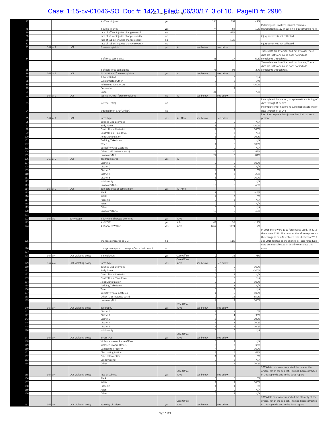## Case: 1:15-cv-01046-SO Doc #: 142-1 Filed: 06/30/17 3 of 10. PageID #: 2986

| 77                              |     |                      | # officers injured                                                                  | yes        |                              | 134       | 192                       | 43%             |                                                                                                                                                            |
|---------------------------------|-----|----------------------|-------------------------------------------------------------------------------------|------------|------------------------------|-----------|---------------------------|-----------------|------------------------------------------------------------------------------------------------------------------------------------------------------------|
|                                 |     |                      |                                                                                     |            |                              |           |                           |                 | Public injuries is citizen injuries. This was                                                                                                              |
| 78                              |     |                      | # public injuries                                                                   | yes        |                              | 77        | 69                        |                 | -10% misreported as 112 in baseline, but corrected here.                                                                                                   |
| 79<br>80                        |     |                      | rate of officer injuries change overall<br>rate of officer injuries change severity | no<br>no   |                              |           | 43%                       |                 | injury severity is not collected                                                                                                                           |
| 81                              |     |                      | rate of subject injuries change overall                                             | no         |                              |           | $-10%$                    |                 |                                                                                                                                                            |
| 82                              |     |                      | rate of subject injuries change severity                                            | no         |                              |           |                           |                 | injury severity is not collected                                                                                                                           |
| 83<br>367 a. 2                  |     | <b>UOF</b>           | Force complaints                                                                    | yes        | <b>IA</b>                    | see below | see below                 |                 |                                                                                                                                                            |
| 84                              |     |                      | # of force complaints                                                               |            |                              | 43        | 17                        |                 | These data are by officer and not by case; These<br>data are just from IA and does not include<br>-60% complaints through OPS                              |
| 85                              |     |                      | # of non-force complaints                                                           |            |                              | 73        | 93                        |                 | These data are by officer and not by case; These<br>data are just from IA and does not include<br>27% complaints through OPS                               |
| 86<br>367                       | a.2 | UOF                  | disposition of force complaints                                                     | yes        | IΔ                           | see below | ee below                  |                 |                                                                                                                                                            |
| 87                              |     |                      | Substantiated                                                                       |            |                              |           | $\circ$                   | N/A             |                                                                                                                                                            |
| 88                              |     |                      | Substantiated Other                                                                 |            |                              |           | $\mathbf{8}$              | 14%             |                                                                                                                                                            |
| 89<br>90                        |     |                      | Administrative Closure<br>Exonerated                                                |            |                              |           | $\Omega$                  | $-100%$         |                                                                                                                                                            |
| 91                              |     |                      | Open                                                                                |            |                              | 34        | 8                         | $-76%$          |                                                                                                                                                            |
| 92<br>367 a. 2                  |     | <b>UOF</b>           | source (in/ext.) force complaints                                                   | no         | IA.                          | see below | see below                 |                 |                                                                                                                                                            |
| 93                              |     |                      | nternal (CPD)                                                                       | no         |                              |           |                           |                 | Incomplete information; no systematic capturing of<br>data through IA or OPS                                                                               |
| 94                              |     |                      | External (non-CPD/Civilian)                                                         | no         |                              |           |                           |                 | Incomplete information; no systematic capturing of<br>data through IA or OPS                                                                               |
| 95<br>367                       | a.2 | <b>UOF</b>           | force type                                                                          | yes        | A, IAPro                     | see below | see below                 |                 | lots of incomplete data (more than half data not<br>present)                                                                                               |
| 96                              |     |                      | <b>Balance Displacement</b>                                                         |            |                              |           | $\circ$                   | N/A             |                                                                                                                                                            |
| 97                              |     |                      | Body Force                                                                          |            |                              |           | C                         | $-100%$         |                                                                                                                                                            |
| 98                              |     |                      | Control Hold-Restraint                                                              |            |                              |           | 8                         | 300%            |                                                                                                                                                            |
| 99                              |     |                      | Control Hold-Takedown                                                               |            |                              |           | 3                         | N/A             |                                                                                                                                                            |
| 100<br>101                      |     |                      | Joint Manipulation<br>Tackling/Takedown                                             |            |                              |           | $\circ$                   | 100%<br>N/A     |                                                                                                                                                            |
| 102                             |     |                      | Taser                                                                               |            |                              |           | $\circ$                   | $-100%$         |                                                                                                                                                            |
| 103                             |     |                      | Verbal/Physical Gestures                                                            |            |                              |           | $\Omega$                  | N/A             |                                                                                                                                                            |
| 104                             |     |                      | Other (1-25 instance each)                                                          |            |                              |           | 10                        | 43%             |                                                                                                                                                            |
| 105                             |     |                      | Unknown/NULL                                                                        |            |                              | 27        |                           | $-81%$          |                                                                                                                                                            |
| 106<br>367 a. 2<br>107          |     | <b>UOF</b>           | geographic area<br>District 1                                                       | yes        | <b>IA</b>                    |           |                           | $-100%$         |                                                                                                                                                            |
| 108                             |     |                      | District 2                                                                          |            |                              |           | $\overline{A}$            | N/A             |                                                                                                                                                            |
| 109                             |     |                      | District 3                                                                          |            |                              |           | 4                         | 0%              |                                                                                                                                                            |
| 110                             |     |                      | District 4                                                                          |            |                              |           |                           | $-25%$          |                                                                                                                                                            |
| 111                             |     |                      | District 5                                                                          |            |                              |           | $\circ$                   | $-100%$         |                                                                                                                                                            |
| 112                             |     |                      | outside city                                                                        |            |                              | 10        | $\Omega$<br>6             | N/A             |                                                                                                                                                            |
| 113<br>367 a. 2<br>114          |     | <b>UOF</b>           | Unknown/NULL<br>demographics of complainant                                         | yes        | A, IAPro                     |           |                           | $-40%$          |                                                                                                                                                            |
| 115                             |     |                      | Black                                                                               |            |                              | 11        | 6                         | $-45%$          |                                                                                                                                                            |
| 116                             |     |                      | White                                                                               |            |                              |           | $\mathcal{P}$             | 0%              |                                                                                                                                                            |
| 117                             |     |                      | Hispanic                                                                            |            |                              |           |                           | N/A             |                                                                                                                                                            |
| 118                             |     |                      | Asian                                                                               |            |                              |           | $\Omega$                  | N/A             |                                                                                                                                                            |
| 119<br>120                      |     |                      | Other                                                                               |            |                              |           | $\circ$                   | N/A             |                                                                                                                                                            |
|                                 |     |                      |                                                                                     |            |                              |           |                           |                 |                                                                                                                                                            |
|                                 |     |                      | Unknown/NULL                                                                        |            |                              | 10        | 6                         | $-40%$          |                                                                                                                                                            |
| 121                             |     |                      |                                                                                     |            |                              |           |                           |                 |                                                                                                                                                            |
| 367 a.3<br>122<br>123           |     | ECW usage            | # ECW and changes over time<br># of ECW                                             | yes<br>yes | IAPro<br>IAPro               | 44        | 36                        | $-18%$          |                                                                                                                                                            |
| 124                             |     |                      | # of non-ECW UoF                                                                    | yes        | IAPro                        | 1267      | 1174                      | $-7%$           |                                                                                                                                                            |
|                                 |     |                      |                                                                                     |            |                              |           |                           |                 | In 2015 there were 1311 force types used. In 2016<br>there were 1210. This number therefore represents<br>the change in non-Taser force types between 2015 |
| 125                             |     |                      | changes compared to UOF                                                             | no         |                              |           | $-11%$                    |                 | and 2016 relative to the change in Taser force type<br>Data are not collected in detail to calculate this                                                  |
| 126<br>127                      |     |                      | changes compared to weapon/force instrument                                         | no         |                              |           |                           |                 | value                                                                                                                                                      |
| 128<br>367 a.4                  |     | UOF violating policy | # in violation                                                                      | yes        | Case Office                  |           | 16                        | 78%             |                                                                                                                                                            |
|                                 |     |                      |                                                                                     |            | Case Office,                 |           |                           |                 |                                                                                                                                                            |
| 367 a.4<br>129                  |     | UOF violating policy | force type                                                                          | yes        | IAPro                        | see below | see below                 |                 |                                                                                                                                                            |
| 130                             |     |                      | <b>Balance Displacement</b>                                                         |            |                              |           | $\circ$                   | $-100%$         |                                                                                                                                                            |
| 131<br>132                      |     |                      | Body Force<br>Control Hold-Restraint                                                |            |                              |           | $\circ$<br>$\overline{7}$ | $-100%$<br>N/A  |                                                                                                                                                            |
| 133                             |     |                      | Control Hold-Takedown                                                               |            |                              |           | $\Omega$                  | N/A             |                                                                                                                                                            |
| 134                             |     |                      | Joint Manipulation                                                                  |            |                              |           | $\circ$                   | $-100%$         |                                                                                                                                                            |
| 135                             |     |                      | Tackling/Takedown                                                                   |            |                              |           | 3                         | $N/\Delta$      |                                                                                                                                                            |
| 136                             |     |                      | Taser                                                                               |            |                              |           | $\circ$                   | N/A             |                                                                                                                                                            |
| 137<br>138                      |     |                      | Verbal/Physical Gestures<br>Other (1-25 instance each)                              |            |                              |           | 13                        | $-100%$<br>550% |                                                                                                                                                            |
| 139                             |     |                      | Unknown/NULL                                                                        |            |                              |           | $\overline{4}$            | 100%            |                                                                                                                                                            |
|                                 |     |                      |                                                                                     |            | Case Office,                 |           |                           |                 |                                                                                                                                                            |
| 140<br>367 a.4                  |     | UOF violating policy | geography                                                                           | yes        | <b>IAPro</b>                 | see below | ee below                  |                 |                                                                                                                                                            |
| 141                             |     |                      | District 1                                                                          |            |                              |           |                           | 0%              |                                                                                                                                                            |
| 142<br>143                      |     |                      | District 2<br>District 3                                                            |            |                              |           | $\overline{4}$<br>6       | 33%<br>100%     |                                                                                                                                                            |
| 144                             |     |                      | District 4                                                                          |            |                              |           | $\overline{\mathbf{a}}$   | 200%            |                                                                                                                                                            |
|                                 |     |                      | District 5                                                                          |            |                              |           | $\overline{2}$            | 100%            |                                                                                                                                                            |
|                                 |     |                      | outside city                                                                        |            |                              |           | $\circ$                   | N/A             |                                                                                                                                                            |
| 367                             | a.4 | UOF violating policy | arrest type                                                                         | yes        | Case Office,<br><b>IAPro</b> | see below | ee below                  |                 |                                                                                                                                                            |
| 145<br>146<br>147<br>148        |     |                      | Violence toward Police Officer                                                      |            |                              |           | $\overline{2}$            | N/A             |                                                                                                                                                            |
| 149                             |     |                      | Violence toward Others                                                              |            |                              |           | $\overline{2}$            | $-33%$          |                                                                                                                                                            |
| 150<br>151                      |     |                      | Damage to Property<br>Obstructing Justice                                           |            |                              |           |                           | $-100%$<br>67%  |                                                                                                                                                            |
| 152                             |     |                      | Crisis Intervention                                                                 |            |                              |           | $\mathbf{1}$              | 0%              |                                                                                                                                                            |
| 153                             |     |                      | Drugs/Alcohol                                                                       |            |                              |           | $\mathfrak{p}$            | $N/\Delta$      |                                                                                                                                                            |
| 154                             |     |                      | Other                                                                               |            | Case Office,                 |           | 12                        | 200%            | 2015 data mistakenly reported the race of the<br>officer, not of the subject. This has been corrected                                                      |
| 367 a.4<br>155                  |     | UOF violating policy | race of subject                                                                     | yes        | APro                         | see below | ee below                  |                 | in this appendix and in the 2016 report                                                                                                                    |
|                                 |     |                      | Black                                                                               |            |                              |           | 6                         | 0%              |                                                                                                                                                            |
|                                 |     |                      | White                                                                               |            |                              |           | $\overline{2}$            | 100%            |                                                                                                                                                            |
|                                 |     |                      | Hispanic<br>Asian                                                                   |            |                              |           | $\circ$                   | 0%<br>N/A       |                                                                                                                                                            |
| 156<br>157<br>158<br>159<br>160 |     |                      | Other                                                                               |            |                              |           | $\overline{2}$            | N/A             |                                                                                                                                                            |
|                                 |     |                      |                                                                                     |            | Case Office,                 |           |                           |                 | 2015 data mistakenly reported the ethnicity of the<br>officer, not of the subject. This has been corrected                                                 |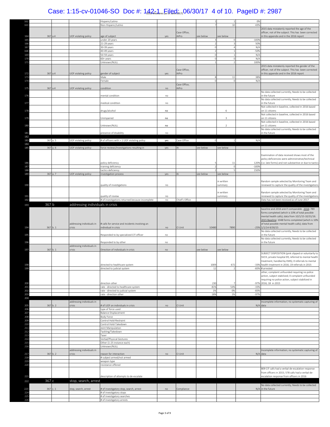### Case: 1:15-cv-01046-SO Doc #:  $1.42 - 1.42$   $1.42 - 0.06/30/17$  4 of 10. PageID #: 2987

| 162                    |          |      |                                  | Hispanic/Latino                                         |     |                |                |                | 0%              |                                                                                                        |
|------------------------|----------|------|----------------------------------|---------------------------------------------------------|-----|----------------|----------------|----------------|-----------------|--------------------------------------------------------------------------------------------------------|
| 163                    |          |      |                                  | Non-Hispanic/Latino                                     |     |                |                | 10             | 43%             |                                                                                                        |
|                        |          |      |                                  |                                                         |     |                |                |                |                 | 2015 data mistakenly reported the age of the                                                           |
|                        |          |      |                                  |                                                         |     | Case Office,   |                |                |                 | officer, not of the subject. This has been corrected                                                   |
| 164                    | 367 a.4  |      | UOF violating policy             | age of subject                                          | yes | <b>IAPro</b>   | see below      | see below      |                 | n this appendix and in the 2016 report                                                                 |
| 165                    |          |      |                                  | under 20 years                                          |     |                |                |                | $-1009$         |                                                                                                        |
| 166                    |          |      |                                  | 21-29 years                                             |     |                | $\overline{2}$ |                | 50%             |                                                                                                        |
| 167                    |          |      |                                  | 30-39 years<br>40-49 years                              |     |                | $\circ$        |                | N/A<br>$-50%$   |                                                                                                        |
| 168<br>16 <sup>c</sup> |          |      |                                  | 50-59 years                                             |     |                |                |                | N/A             |                                                                                                        |
| 170                    |          |      |                                  | 60+ years                                               |     |                | $\Omega$       |                | N/A             |                                                                                                        |
| 171                    |          |      |                                  | Unknown/NULL                                            |     |                |                |                | 100%            |                                                                                                        |
|                        |          |      |                                  |                                                         |     |                |                |                |                 | 2015 data mistakenly reported the gender of the                                                        |
|                        |          |      |                                  |                                                         |     | Case Office,   |                |                |                 | officer, not of the subject. This has been corrected                                                   |
| 172                    | 367 a.4  |      | UOF violating policy             | gender of subject                                       | yes | <b>IAPro</b>   |                |                |                 | in this appendix and in the 2016 report                                                                |
| 173                    |          |      |                                  | Male                                                    |     |                |                | $11\,$         | 38%             |                                                                                                        |
| 174                    |          |      |                                  | Female                                                  |     |                |                |                | N/A             |                                                                                                        |
|                        |          |      |                                  |                                                         |     | Case Office,   |                |                |                 |                                                                                                        |
| 175                    | 367 a.4  |      | UOF violating policy             | condition                                               | no  | APro           |                |                |                 |                                                                                                        |
|                        |          |      |                                  |                                                         |     |                |                |                |                 | No data collected currently; Needs to be collected                                                     |
| 176                    |          |      |                                  | mental condition                                        | no  |                |                |                |                 | in the future                                                                                          |
| 177                    |          |      |                                  | medical condition                                       | no  |                |                |                |                 | No data collected currently; Needs to be collected<br>in the future                                    |
|                        |          |      |                                  |                                                         |     |                |                |                |                 | Not collected in baseline, collected in 2016 based                                                     |
| 178                    |          |      |                                  | drugs/alcohol                                           | no  |                |                | 6              |                 | on 11 citizens                                                                                         |
|                        |          |      |                                  |                                                         |     |                |                |                |                 | Not collected in baseline, collected in 2016 based                                                     |
| 179                    |          |      |                                  | Unimpaired                                              | no  |                |                | $\mathbf{3}$   |                 | on 11 citizens                                                                                         |
|                        |          |      |                                  |                                                         |     |                |                |                |                 | Not collected in baseline, collected in 2016 based                                                     |
| 180                    |          |      |                                  | Unknown/NULL                                            | no  |                |                | $\overline{2}$ |                 | on 11 citizens                                                                                         |
|                        |          |      |                                  |                                                         |     |                |                |                |                 | No data collected currently; Needs to be collected                                                     |
| 181                    |          |      |                                  | presence of disability                                  | no  |                |                |                |                 | in the future                                                                                          |
| 182                    |          |      |                                  |                                                         |     |                |                |                |                 |                                                                                                        |
| 183                    | 367 a. 5 |      | UOF violating policy             | # of officers with > 1 UOF violating policy             | yes | Case Office    | $\circ$        | $\mathbf{1}$   | N/A             |                                                                                                        |
| 184                    |          |      |                                  |                                                         |     |                |                |                |                 |                                                                                                        |
| 185                    | 367 a. 6 |      | UOF violating policy             | force reviews/investigations resulting in               | yes | IA             | see below      | see below      |                 |                                                                                                        |
|                        |          |      |                                  |                                                         |     |                |                |                |                 |                                                                                                        |
|                        |          |      |                                  |                                                         |     |                |                |                |                 | Examination of data received shows most of the                                                         |
|                        |          |      |                                  |                                                         |     |                |                |                |                 | policy deficiencies were administrative/technical                                                      |
| 186<br>187             |          |      |                                  | policy deficiency<br>training deficiency                |     |                |                | $1^{\circ}$    | 120%<br>$-100%$ | (i.e. late forms) and not substantive or due to tactics                                                |
| 188                    |          |      |                                  | tactics deficiency                                      |     |                |                |                | 150%            |                                                                                                        |
| 189                    | 367 a. 7 |      | UOF violating policy             | nvestigation process                                    | yes | IA             | see below      | see below      |                 |                                                                                                        |
|                        |          |      |                                  |                                                         |     |                |                |                |                 |                                                                                                        |
|                        |          |      |                                  |                                                         |     |                |                | in written     |                 | Random sample selected by Monitoring Team and                                                          |
| 190                    |          |      |                                  | quality of investigations                               | no  |                |                | summary        |                 | reviewed to capture the quality of the investigations                                                  |
|                        |          |      |                                  |                                                         |     |                |                |                |                 |                                                                                                        |
|                        |          |      |                                  |                                                         |     |                |                | in written     |                 | Random sample selected by Monitoring Team and                                                          |
| 191                    |          |      |                                  | quality of review                                       | no  |                |                | summary        |                 | reviewed to capture the quality of the investigations                                                  |
| 192                    |          |      |                                  | # of investigations returned because incomplete         | no  | Chief's Office |                |                |                 | Data has not been received as of June 2017                                                             |
|                        |          |      |                                  |                                                         |     |                |                |                |                 |                                                                                                        |
|                        | 367 b    |      |                                  |                                                         |     |                |                |                |                 |                                                                                                        |
| 193                    |          |      | addressing individuals in crisis |                                                         |     |                |                |                |                 |                                                                                                        |
|                        |          |      |                                  |                                                         |     |                |                |                |                 | baseline and 2016 aren't comparable. 2016: 789<br>forms completed (which is 10% of total possible      |
|                        |          |      |                                  |                                                         |     |                |                |                |                 |                                                                                                        |
|                        |          |      |                                  |                                                         |     |                |                |                |                 | mental health calls); data from 10/1/15-10/31/16.<br>2015 Baseline: 1048 forms completed (which is 10% |
|                        |          |      | addressing individuals in        | # calls for service and incidents involving an          |     |                |                |                |                 | of total possible mental health calls); data from                                                      |
| 194                    | 367 b. 1 |      | crisis                           | individual in crisis                                    | no  | CI Unit        | 10480          | 7890           |                 | $-25\%$ $1/1/14 - 9/30/15$                                                                             |
|                        |          |      |                                  |                                                         |     |                |                |                |                 | No data collected currently; Needs to be collected                                                     |
| 195                    |          |      |                                  | Responded to by specialized CIT officer                 | no  |                |                |                |                 | in the future                                                                                          |
|                        |          |      |                                  |                                                         |     |                |                |                |                 | No data collected currently; Needs to be collected                                                     |
| 196                    |          |      |                                  | Responded to by other                                   | no  |                |                |                |                 | in the future                                                                                          |
|                        |          |      | addressing individuals in        |                                                         |     |                |                |                |                 |                                                                                                        |
| 197                    | 367 b. 1 |      | crisis                           | Direction of individuals in crisis                      | no  |                | ee below       | see below      |                 |                                                                                                        |
|                        |          |      |                                  |                                                         |     |                |                |                |                 | SUBJECT DISPOSITION (pink slipped or voluntarily to                                                    |
|                        |          |      |                                  |                                                         |     |                |                |                |                 | SVCH, private hospital ER, referred to mental health                                                   |
| 198                    |          |      |                                  | directed to healthcare system                           |     |                | 1009           | 672            | $-33%$          | treatment, handled by EMS); 0 referrals to mental<br>health treatment in 2016; 19 referrals in 2015    |
| 199                    |          |      |                                  | directed to judicial system                             |     |                | 12             |                | $-83%$          | # arrested                                                                                             |
|                        |          |      |                                  |                                                         |     |                |                |                |                 | other, complaint unfounded requiring no police                                                         |
|                        |          |      |                                  |                                                         |     |                |                |                |                 | action, subject stabilized; 0 complaint unfounded                                                      |
|                        |          |      |                                  |                                                         |     |                |                |                |                 | requiring no police action, subject stabilized in                                                      |
| 200                    |          |      |                                  | direction other                                         |     |                | 230            |                | $-97%$          | 2016; 18 in 2015                                                                                       |
| 201                    |          |      |                                  | rate - directed to healthcare system                    |     |                | 81%            | 54%            | $-33%$          |                                                                                                        |
| 202                    |          |      |                                  | rate - directed to judicial system                      |     |                | 1%             | 0%             | $-83%$          |                                                                                                        |
| 203                    |          |      |                                  | rate - direction other                                  |     |                | 18%            | 1%             | $-97%$          |                                                                                                        |
| 204                    |          |      |                                  |                                                         |     |                |                |                |                 |                                                                                                        |
|                        |          | b.2  | addressing individuals in        |                                                         |     |                |                |                |                 | Incomplete information; no systematic capturing of                                                     |
| 205                    | 367      |      | crisis                           | # of UOF on individuals in crisis                       | no  | CI Unit        |                |                | N/A             | data                                                                                                   |
| 206<br>207             |          |      |                                  | type of force used<br><b>Balance Displacement</b>       |     |                |                |                |                 |                                                                                                        |
| 208                    |          |      |                                  | Body Force                                              |     |                |                |                |                 |                                                                                                        |
| 209                    |          |      |                                  | Control Hold-Restraint                                  |     |                |                |                |                 |                                                                                                        |
| 210                    |          |      |                                  | Control Hold-Takedown                                   |     |                |                |                |                 |                                                                                                        |
| 211                    |          |      |                                  | Joint Manipulation                                      |     |                |                |                |                 |                                                                                                        |
| 212                    |          |      |                                  | Tackling/Takedown                                       |     |                |                |                |                 |                                                                                                        |
| 213                    |          |      |                                  | Taser                                                   |     |                |                |                |                 |                                                                                                        |
| 214                    |          |      |                                  | Verbal/Physical Gestures                                |     |                |                |                |                 |                                                                                                        |
| 215                    |          |      |                                  | Other (1-25 instance each)                              |     |                |                |                |                 |                                                                                                        |
| 216                    |          |      |                                  | Unknown/NULL                                            |     |                |                |                |                 |                                                                                                        |
|                        |          |      | addressing individuals in        |                                                         |     |                |                |                |                 | ncomplete information; no systematic capturing of                                                      |
| 217                    | 367 b. 2 |      | crisis                           | reason for interaction                                  | no  | CI Unit        |                |                |                 | N/A data                                                                                               |
| 218                    |          |      |                                  | # subject armed/not armed                               |     |                |                |                |                 |                                                                                                        |
| 219<br>220             |          |      |                                  | weapon type                                             |     |                |                |                |                 |                                                                                                        |
|                        |          |      |                                  | resistance offered                                      |     |                |                |                |                 | 809 CIT calls had a verbal de-escalation response                                                      |
|                        |          |      |                                  |                                                         |     |                |                |                |                 | from officers in 2015; 578 calls had a verbal de-                                                      |
| 221                    |          |      |                                  | description of attempts to de-escalate                  |     |                |                |                |                 | escalation response from officers in 2016                                                              |
|                        |          |      |                                  |                                                         |     |                |                |                |                 |                                                                                                        |
| 222                    | 367 с    |      | stop, search, arrest             |                                                         |     |                |                |                |                 |                                                                                                        |
| 223                    | 367      | c. 1 |                                  |                                                         | no  | Compliance     |                |                |                 | No data collected currently; Needs to be collected<br>N/A in the future                                |
|                        |          |      | stop, search, arrest             | # of investigatory stop, search, arrest                 |     |                |                |                |                 |                                                                                                        |
| 224<br>225             |          |      |                                  | # of investigatory stops<br># of investigatory searches |     |                |                |                |                 |                                                                                                        |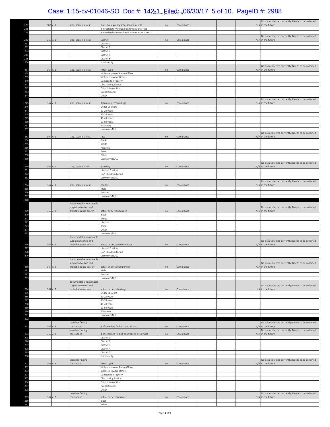## Case: 1:15-cv-01046-SO Doc #:  $1.42 - 1.42$   $1.42 - 0.06/30/17$  5 of 10. PageID #: 2988

| 227               | 367      | c.1                     | stop, search, arrest                             | % of investigatory stop, search, arrest                    | no | Compliance |  | No data collected currently; Needs to be collected<br>N/A in the future |
|-------------------|----------|-------------------------|--------------------------------------------------|------------------------------------------------------------|----|------------|--|-------------------------------------------------------------------------|
| 228               |          |                         |                                                  | # investigatory stops/# summons or arrest                  |    |            |  |                                                                         |
| 229               |          |                         |                                                  | # investigatory searches/# summons or arrest               |    |            |  |                                                                         |
|                   |          |                         |                                                  |                                                            |    |            |  | No data collected currently; Needs to be collected                      |
| 230<br>231        | 367 c. 1 |                         | stop, search, arrest                             | District<br>District 1                                     | no | Compliance |  | N/A in the future                                                       |
| 232               |          |                         |                                                  | District 2                                                 |    |            |  |                                                                         |
| 233               |          |                         |                                                  | District 3                                                 |    |            |  |                                                                         |
| 234               |          |                         |                                                  | District 4                                                 |    |            |  |                                                                         |
| 235<br>236        |          |                         |                                                  | District 5<br>outside city                                 |    |            |  |                                                                         |
|                   |          |                         |                                                  |                                                            |    |            |  | No data collected currently; Needs to be collected                      |
| 237               | 367      | c. 1                    | stop, search, arrest                             | Arrest type                                                | no | Compliance |  | N/A in the future                                                       |
| 238               |          |                         |                                                  | Violence toward Police Officer                             |    |            |  |                                                                         |
| 239<br>240        |          |                         |                                                  | Violence toward Others<br>Damage to Property               |    |            |  |                                                                         |
| 24:               |          |                         |                                                  | Obstructing Justice                                        |    |            |  |                                                                         |
| 242               |          |                         |                                                  | Crisis Intervention                                        |    |            |  |                                                                         |
| 243               |          |                         |                                                  | Drugs/Alcohol                                              |    |            |  |                                                                         |
| 244               |          |                         |                                                  | Other                                                      |    |            |  | No data collected currently; Needs to be collected                      |
| 245               | 367 c. 1 |                         | stop, search, arrest                             | Actual or perceived age                                    | no | Compliance |  | N/A in the future                                                       |
| 246               |          |                         |                                                  | under 20 years                                             |    |            |  |                                                                         |
| 247               |          |                         |                                                  | 21-29 years                                                |    |            |  |                                                                         |
| 248<br>249        |          |                         |                                                  | 30-39 years<br>40-49 years                                 |    |            |  |                                                                         |
| <b>250</b>        |          |                         |                                                  | 50-59 years                                                |    |            |  |                                                                         |
| 251               |          |                         |                                                  | 60+ years                                                  |    |            |  |                                                                         |
| 252               |          |                         |                                                  | Unknown/NULL                                               |    |            |  |                                                                         |
| 253               | 367      | c.1                     |                                                  |                                                            |    |            |  | No data collected currently; Needs to be collected                      |
| 254               |          |                         | stop, search, arrest                             | race<br>Black                                              | no | Compliance |  | N/A in the future                                                       |
| 255               |          |                         |                                                  | White                                                      |    |            |  |                                                                         |
| 256               |          |                         |                                                  | Hispanic                                                   |    |            |  |                                                                         |
| 25                |          |                         |                                                  | Asian                                                      |    |            |  |                                                                         |
| 258<br><b>259</b> |          |                         |                                                  | Other<br>Unknown/NULL                                      |    |            |  |                                                                         |
|                   |          |                         |                                                  |                                                            |    |            |  | No data collected currently; Needs to be collected                      |
| 260               | 367 c. 1 |                         | stop, search, arrest                             | ethnicity                                                  | no | Compliance |  | N/A in the future                                                       |
| 261               |          |                         |                                                  | Hispanic/Latino                                            |    |            |  |                                                                         |
| 262<br>263        |          |                         |                                                  | Non-Hispanic/Latino<br>Unknown/NULL                        |    |            |  |                                                                         |
|                   |          |                         |                                                  |                                                            |    |            |  | No data collected currently; Needs to be collected                      |
| 264               | 367      | c. 1                    | stop, search, arrest                             | gender                                                     | no | Compliance |  | N/A in the future                                                       |
| 265               |          |                         |                                                  | Male                                                       |    |            |  |                                                                         |
| 266               |          |                         |                                                  | Female                                                     |    |            |  |                                                                         |
| 267<br>268        |          |                         |                                                  | Unknown/NULL                                               |    |            |  |                                                                         |
|                   |          |                         | documentable reasonable                          |                                                            |    |            |  |                                                                         |
|                   |          |                         | suspicion to stop and                            |                                                            |    |            |  | No data collected currently; Needs to be collected                      |
|                   | 367      | c.2                     |                                                  |                                                            |    |            |  |                                                                         |
| 269               |          |                         | probable cause search                            | actual or perceived race                                   | no | Compliance |  | N/A in the future                                                       |
| 270               |          |                         |                                                  | Black                                                      |    |            |  |                                                                         |
| 27 <sub>2</sub>   |          |                         |                                                  | White<br>Hispanic                                          |    |            |  |                                                                         |
| 272<br>273        |          |                         |                                                  | Asian                                                      |    |            |  |                                                                         |
| 274               |          |                         |                                                  | Other                                                      |    |            |  |                                                                         |
| 275               |          |                         |                                                  | Unknown/NULL                                               |    |            |  |                                                                         |
|                   |          |                         | documentable reasonable<br>suspicion to stop and |                                                            |    |            |  |                                                                         |
| 276               | 367 c. 2 |                         | probable cause search                            | actual or perceived ethnicity                              | no | Compliance |  | No data collected currently; Needs to be collected<br>N/A in the future |
| 27 <sub>z</sub>   |          |                         |                                                  | Hispanic/Latino                                            |    |            |  |                                                                         |
| 278               |          |                         |                                                  | Non-Hispanic/Latino                                        |    |            |  |                                                                         |
| 279               |          |                         | documentable reasonable                          | Unknown/NULL                                               |    |            |  |                                                                         |
|                   |          |                         | suspicion to stop and                            |                                                            |    |            |  | No data collected currently; Needs to be collected                      |
| 280               | 367 c. 2 |                         | probable cause search                            | actual or perceived gender                                 | no | Compliance |  | N/A in the future                                                       |
| 281               |          |                         |                                                  | Male                                                       |    |            |  |                                                                         |
| 282<br>283        |          |                         |                                                  | Female<br>Unknown/NULL                                     |    |            |  |                                                                         |
|                   |          |                         | documentable reasonable                          |                                                            |    |            |  |                                                                         |
|                   |          |                         | suspicion to stop and                            |                                                            |    |            |  | No data collected currently; Needs to be collected                      |
| 284               | 367      | c.2                     | probable cause search                            | actual or perceived age                                    | no | Compliance |  | N/A in the future                                                       |
| 285<br>286        |          |                         |                                                  | under 20 years                                             |    |            |  |                                                                         |
| 287               |          |                         |                                                  | 21-29 years<br>30-39 years                                 |    |            |  |                                                                         |
| 288               |          |                         |                                                  | 40-49 years                                                |    |            |  |                                                                         |
| 289               |          |                         |                                                  | 50-59 years                                                |    |            |  |                                                                         |
| 290               |          |                         |                                                  | 60+ years<br>Unknown/NULL                                  |    |            |  |                                                                         |
| 291<br>292        |          |                         |                                                  |                                                            |    |            |  |                                                                         |
|                   |          |                         | searches finding                                 |                                                            |    |            |  | No data collected currently; Needs to be collected                      |
| 293               | 367      | c.3                     | contraband                                       | # of searches finding contraband                           | no | Compliance |  | N/A in the future                                                       |
|                   |          | $\overline{\mathbf{3}}$ | searches finding                                 |                                                            |    |            |  | No data collected currently; Needs to be collected                      |
| 294<br>295        | 367      |                         | contraband                                       | # of searches finding contraband by district<br>District 1 | no | Compliance |  | N/A in the future                                                       |
| 296               |          |                         |                                                  | District 2                                                 |    |            |  |                                                                         |
| 297               |          |                         |                                                  | District 3                                                 |    |            |  |                                                                         |
| 298               |          |                         |                                                  | District 4                                                 |    |            |  |                                                                         |
| 299<br>300        |          |                         |                                                  | District 5<br>outside city                                 |    |            |  |                                                                         |
|                   |          |                         | searches finding                                 |                                                            |    |            |  | No data collected currently; Needs to be collected                      |
| 301               | 367 c. 3 |                         | contraband                                       | Arrest type                                                | no | Compliance |  | N/A in the future                                                       |
| 302               |          |                         |                                                  | Violence toward Police Officer                             |    |            |  |                                                                         |
| 303<br>304        |          |                         |                                                  | Violence toward Others<br>Damage to Property               |    |            |  |                                                                         |
| 305               |          |                         |                                                  | Obstructing Justice                                        |    |            |  |                                                                         |
| 306               |          |                         |                                                  | Crisis Intervention                                        |    |            |  |                                                                         |
| 307               |          |                         |                                                  | Drugs/Alcohol                                              |    |            |  |                                                                         |
| 308               |          |                         | searches finding                                 | Other                                                      |    |            |  | No data collected currently; Needs to be collected                      |
| 309               | 367 c. 3 |                         | contraband                                       | actual or perceived race                                   | no | Compliance |  | N/A in the future                                                       |
| 310<br>311        |          |                         |                                                  | Black<br>White                                             |    |            |  |                                                                         |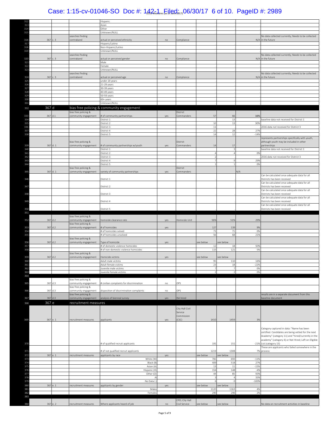#### Case: 1:15-cv-01046-SO Doc #:  $1.42 - 1.42$   $1.42 - 0.06/30/17$  6 of 10. PageID #: 2989

| 312                    |          |                                              | Hispanic                                                    |     |                            |                   |                   |               |                                                                                                           |
|------------------------|----------|----------------------------------------------|-------------------------------------------------------------|-----|----------------------------|-------------------|-------------------|---------------|-----------------------------------------------------------------------------------------------------------|
| 313                    |          |                                              | Asian                                                       |     |                            |                   |                   |               |                                                                                                           |
| 314                    |          |                                              | Other                                                       |     |                            |                   |                   |               |                                                                                                           |
| 315                    |          | searches finding                             | Unknown/NULL                                                |     |                            |                   |                   |               | No data collected currently; Needs to be collected                                                        |
| 316<br>367 c. 3        |          | contraband                                   | actual or perceived ethnicity                               | no  | Compliance                 |                   |                   |               | N/A in the future                                                                                         |
| 317<br>318             |          |                                              | Hispanic/Latino                                             |     |                            |                   |                   |               |                                                                                                           |
| 319                    |          |                                              | Non-Hispanic/Latino<br>Unknown/NULL                         |     |                            |                   |                   |               |                                                                                                           |
|                        |          | searches finding                             |                                                             |     |                            |                   |                   |               | No data collected currently; Needs to be collected                                                        |
| 320<br>367             | c.3      | contraband                                   | actual or perceived gender                                  | no  | Compliance                 |                   |                   |               | N/A in the future                                                                                         |
| 321<br>322             |          |                                              | Male<br>Female                                              |     |                            |                   |                   |               |                                                                                                           |
| 323                    |          |                                              | Unknown/NULL                                                |     |                            |                   |                   |               |                                                                                                           |
|                        |          | searches finding                             |                                                             |     |                            |                   |                   |               | No data collected currently; Needs to be collected                                                        |
| 324<br>367 c. 3<br>325 |          | contraband                                   | actual or perceived age<br>under 20 years                   | no  | Compliance                 |                   |                   |               | N/A in the future                                                                                         |
| 326                    |          |                                              | 21-29 years                                                 |     |                            |                   |                   |               |                                                                                                           |
| 327                    |          |                                              | 30-39 years                                                 |     |                            |                   |                   |               |                                                                                                           |
| 328<br>329             |          |                                              | 40-49 years<br>50-59 years                                  |     |                            |                   |                   |               |                                                                                                           |
| 330                    |          |                                              | 60+ years                                                   |     |                            |                   |                   |               |                                                                                                           |
| 331                    |          |                                              | Unknown/NULL                                                |     |                            |                   |                   |               |                                                                                                           |
| 367 d<br>332           |          |                                              | bias free policing & community engagement                   |     |                            |                   |                   |               |                                                                                                           |
|                        |          | bias free policing &                         |                                                             |     | District                   |                   |                   |               |                                                                                                           |
| 333<br>367 d.1<br>334  |          | community engagement                         | # of community partnerships<br>District 1                   | yes | Commanders                 | 57                | 66<br>13          | 16%           | baseline data not received for District 1                                                                 |
| 335                    |          |                                              | District 2                                                  |     |                            | 10                | 13                | 30%           |                                                                                                           |
| 336                    |          |                                              | District 3                                                  |     |                            | $11\,$            |                   |               | 2016 data not received for District 3                                                                     |
| 337<br>338             |          |                                              | District 4<br>District 5                                    |     |                            | 22<br>14          | 28<br>12          | 27%<br>$-14%$ |                                                                                                           |
|                        |          |                                              |                                                             |     |                            |                   |                   |               | represents partnerships specifically with youth,                                                          |
|                        |          | bias free policing &                         |                                                             |     | District                   |                   |                   |               | although youth may be included in other                                                                   |
| 339<br>367 d. 1        |          | community engagement                         | # of community partnerships w/youth                         | yes | Commanders                 | 14                | 17                |               | partnerships                                                                                              |
| 340<br>341             |          |                                              | District 1<br>District 2                                    |     |                            | 4                 |                   | 0%            | baseline data not received for District 1                                                                 |
| 342                    |          |                                              | District 3                                                  |     |                            | $\mathcal{P}$     |                   |               | 2016 data not received for District 3                                                                     |
| 343                    |          |                                              | District 4                                                  |     |                            |                   |                   | 29%           |                                                                                                           |
| 344                    |          |                                              | District 5                                                  |     | District                   |                   |                   | 0%            |                                                                                                           |
| 345<br>367 d. 1        |          | bias free policing &<br>community engagement | variety of community partnerships                           | yes | Commanders                 |                   |                   | N/A           |                                                                                                           |
|                        |          |                                              |                                                             |     |                            |                   |                   |               | Can be calculated once adequate data for all                                                              |
| 346                    |          |                                              | District 1                                                  |     |                            |                   |                   |               | Districts has been received                                                                               |
| 347                    |          |                                              | District 2                                                  |     |                            |                   |                   |               | Can be calculated once adequate data for all<br>Districts has been received                               |
|                        |          |                                              |                                                             |     |                            |                   |                   |               | Can be calculated once adequate data for all                                                              |
| 348                    |          |                                              | District 3                                                  |     |                            |                   |                   |               | Districts has been received                                                                               |
| 349                    |          |                                              | District 4                                                  |     |                            |                   |                   |               | Can be calculated once adequate data for all<br>Districts has been received                               |
|                        |          |                                              |                                                             |     |                            |                   |                   |               | Can be calculated once adequate data for all                                                              |
|                        |          |                                              |                                                             |     |                            |                   |                   |               |                                                                                                           |
| 350                    |          |                                              | District 5                                                  |     |                            |                   |                   |               | Districts has been received                                                                               |
| 351                    |          |                                              |                                                             |     |                            |                   |                   |               |                                                                                                           |
| 352<br>367 d.2         |          | bias free policing &<br>community engagement | homicide clearance rate                                     | ves | Homicide Unit              | 56%               | 51%               | 29%           |                                                                                                           |
|                        |          | bias free policing &                         |                                                             |     |                            |                   |                   |               |                                                                                                           |
| 367<br>353             | d.2      | community engagement                         | # of homicides                                              | yes |                            | 127               | 139               | 9%            |                                                                                                           |
| 354<br>355             |          |                                              | # of homicides solved<br># of homicides unsolved            |     |                            | 71<br>56          | 71<br>68          | 0%<br>21%     |                                                                                                           |
|                        |          | bias free policing &                         |                                                             |     |                            |                   |                   |               |                                                                                                           |
| 356<br>367 d.2         |          | community engagement                         | Type of homicide                                            | yes |                            | see below         | see below         |               |                                                                                                           |
| 357                    |          |                                              | # of domestic violence homicides                            |     |                            | 12                | 18                | 50%           |                                                                                                           |
| 358                    |          | bias free policing &                         | # of non-domestic violence homicides                        |     |                            | 115               | 121               | 5%            |                                                                                                           |
| 359<br>367 d.2         |          | community engagement                         | Homicide victims                                            | ves |                            | see below         | see below         |               |                                                                                                           |
|                        |          |                                              | vouit maie victims                                          |     |                            |                   | IJ                | TP)           |                                                                                                           |
| 361<br>362             |          |                                              | Adult female victims<br>Juvenile male victims               |     |                            | 23                | 18                | $-22%$<br>0%  |                                                                                                           |
| 363                    |          |                                              | Juvenile female victims                                     |     |                            |                   |                   | 0%            |                                                                                                           |
| 364                    |          |                                              |                                                             |     |                            |                   |                   |               |                                                                                                           |
|                        |          | bias free policing &                         |                                                             |     |                            |                   |                   |               |                                                                                                           |
| 367 d.3<br>365         |          | community engagement<br>bias free policing & | # civilian complaints for discrimination                    | no  | OPS                        |                   |                   |               |                                                                                                           |
| 366<br>367 d.3         |          | community engagement                         | disposition of discrimination complaints                    | no  | OPS                        |                   |                   |               |                                                                                                           |
|                        |          | bias free policing &                         |                                                             |     |                            |                   |                   |               | results are in a separate document from this                                                              |
| 367 d.3<br>367         |          | community engagement                         | analysis of biennial survey                                 | yes | ISA hired                  |                   |                   |               | baseline document                                                                                         |
| 367 e<br>368           |          | recruitment measures                         |                                                             |     |                            |                   |                   |               |                                                                                                           |
|                        |          |                                              |                                                             |     | City Hall Civil<br>Service |                   |                   |               |                                                                                                           |
|                        |          |                                              |                                                             |     | Commission                 |                   |                   |               |                                                                                                           |
| 369<br>367 e. 1        |          | recruitment measures                         | applicants                                                  | yes | (CSC)                      | 1410              | 1459              | 3%            |                                                                                                           |
|                        |          |                                              |                                                             |     |                            |                   |                   |               |                                                                                                           |
|                        |          |                                              |                                                             |     |                            |                   |                   |               | Category captured in data: "Name has been                                                                 |
|                        |          |                                              |                                                             |     |                            |                   |                   |               | certified. Candidates are being vetted for the next<br>Academy" (category 11) and "hired/currently in the |
|                        |          |                                              |                                                             |     |                            |                   |                   |               | academy" (category 4) or Not Hired; Left on Eligible                                                      |
| 370                    |          |                                              | # of qualified recruit applicants                           |     |                            | 191               | 151               |               | -21% List (category 15)                                                                                   |
|                        |          |                                              |                                                             |     |                            |                   |                   |               | These are applicants who failed somewhere in the                                                          |
| 371<br>372             | 367 e. 1 | recruitment measures                         | # of not qualified recruit applicants<br>applicants by race | yes |                            | 1219<br>see below | 1308<br>see below |               | 7% process                                                                                                |
| 373                    |          |                                              | White (W)                                                   |     |                            | 781               | 693               | $-11%$        |                                                                                                           |
| 374                    |          |                                              | Black (B                                                    |     |                            | 409               | 518               | 27%           |                                                                                                           |
| 375                    |          |                                              | Asian (A)                                                   |     |                            | 13                | 11                | $-15%$        |                                                                                                           |
| 376<br>377             |          |                                              | Hispanic (H)<br>Other (O)                                   |     |                            | 154<br>44         | 148<br>85         | $-4%$<br>93%  |                                                                                                           |
| 378                    |          |                                              | $\overline{A}$                                              |     |                            | 3                 |                   | 33%           |                                                                                                           |
| 379                    |          |                                              | No Data (.                                                  |     |                            | F                 |                   | $-100%$       |                                                                                                           |
| 367<br>380<br>381      | e. 1     | ecruitment measures                          | applicants by gender<br>Males                               | yes |                            | see below<br>1120 | ee below<br>1163  | 4%            |                                                                                                           |
| 382                    |          |                                              | Females                                                     |     |                            | 290               | 296               | 2%            |                                                                                                           |
| 383                    |          |                                              |                                                             |     | CPD; City Hall             |                   |                   |               |                                                                                                           |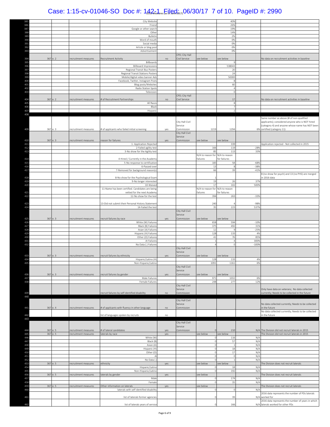#### Case: 1:15-cv-01046-SO Doc #: 142-1 Filed: 06/30/17 7 of 10. PageID #: 2990

| 385<br>386                                                                                     |          |                      |                                                                |     |                 |                                 |                 |                  |                                                    |
|------------------------------------------------------------------------------------------------|----------|----------------------|----------------------------------------------------------------|-----|-----------------|---------------------------------|-----------------|------------------|----------------------------------------------------|
|                                                                                                |          |                      | City Website                                                   |     |                 |                                 | 40%             |                  |                                                    |
| 387                                                                                            |          |                      | Frien<br>Google or other searc                                 |     |                 |                                 | 26%<br>199      |                  |                                                    |
| 388                                                                                            |          |                      | Other                                                          |     |                 |                                 | 14%             |                  |                                                    |
| 38 <sup>c</sup>                                                                                |          |                      | Bulletir                                                       |     |                 |                                 | 2%              |                  |                                                    |
| 390                                                                                            |          |                      | Word of mouth                                                  |     |                 |                                 | 0%              |                  |                                                    |
| 391                                                                                            |          |                      | Social media                                                   |     |                 |                                 | 0%              |                  |                                                    |
| 392                                                                                            |          |                      | Article or blog post                                           |     |                 |                                 | 0%              |                  |                                                    |
| 393                                                                                            |          |                      | Advertisement                                                  |     |                 |                                 | 0%              |                  |                                                    |
|                                                                                                |          |                      |                                                                |     | CPD; City Hall  |                                 |                 |                  |                                                    |
| 394<br>367                                                                                     | e. 2     | recruitment measures | <b>Recruitment Activity</b>                                    | no  | Civil Service   | see below                       | see below       |                  | No data on recruitment activities in baseline      |
| 395                                                                                            |          |                      | Billboards                                                     |     |                 |                                 |                 |                  |                                                    |
| 396                                                                                            |          |                      | <b>Billboard Impressions</b>                                   |     |                 |                                 | 53804           |                  |                                                    |
| 397                                                                                            |          |                      | Regional Transit Bus Posters                                   |     |                 |                                 | 2C              |                  |                                                    |
| 398                                                                                            |          |                      | Regional Transit Stations Posters                              |     |                 |                                 | 24              |                  |                                                    |
| 39 <sup>c</sup>                                                                                |          |                      | Mobile/digital video banner Ads                                |     |                 |                                 | 50000           |                  |                                                    |
| 400                                                                                            |          |                      | Facebook, Twitter, Instagram Posts                             |     |                 |                                 |                 |                  |                                                    |
| 401                                                                                            |          |                      | Blog posts/Websites                                            |     |                 |                                 | 60              |                  |                                                    |
| 402                                                                                            |          |                      | Radio Station Spots                                            |     |                 |                                 | $\Delta$        |                  |                                                    |
| 403                                                                                            |          |                      | Television                                                     |     |                 |                                 |                 |                  |                                                    |
|                                                                                                |          |                      |                                                                |     | CPD; City Hall  |                                 |                 |                  |                                                    |
| 404                                                                                            | 367 e. 2 | recruitment measures | # of Recruitment Partnerships                                  | no  | Civil Service   |                                 | 17              |                  | No data on recruitment activities in baseline      |
| 405                                                                                            |          |                      | All Race                                                       |     |                 |                                 |                 |                  |                                                    |
| 406                                                                                            |          |                      | Black                                                          |     |                 |                                 |                 |                  |                                                    |
| 407                                                                                            |          |                      | Hispanic                                                       |     |                 |                                 |                 |                  |                                                    |
| 408                                                                                            |          |                      |                                                                |     |                 |                                 |                 |                  |                                                    |
|                                                                                                |          |                      |                                                                |     |                 |                                 |                 |                  | Same number as above (# of non-qualified           |
|                                                                                                |          |                      |                                                                |     | City Hall Civil |                                 |                 |                  | applicants); considered anyone who is NOT hired    |
|                                                                                                |          |                      |                                                                |     | Service         |                                 |                 |                  | (category 4) and anyone whose name has NOT been    |
| 409<br>367                                                                                     | e. 3     | recruitment measures | # of applicants who failed initial screening                   | yes | Commission      | 1219                            | 1294            |                  | 6% certified (category 11)                         |
|                                                                                                |          |                      |                                                                |     | City Hall Civil |                                 |                 |                  |                                                    |
|                                                                                                |          |                      |                                                                |     | Service         |                                 |                 |                  |                                                    |
| 410<br>367                                                                                     | e. 3     | recruitment measures | reason for failures                                            | yes | Commission      | see below                       | see below       |                  |                                                    |
| 411                                                                                            |          |                      | 1- Application Rejected                                        |     |                 |                                 | 339             |                  | Application rejected - Not collected in 2015       |
| 412                                                                                            |          |                      | 2-Failed agility test                                          |     |                 | 166                             | 11 <sup>c</sup> | $-28%$           |                                                    |
| 413                                                                                            |          |                      | 3-No show for the Agility test                                 |     |                 | 85                              | 113             | 33%              |                                                    |
|                                                                                                |          |                      |                                                                |     |                 | N/A to reason for N/A to reason |                 |                  |                                                    |
| 414                                                                                            |          |                      | 4-Hired / Currently in the Academy                             |     |                 | failures                        | for failures    |                  |                                                    |
| 415                                                                                            |          |                      | 5-No response to certification                                 |     |                 | 183                             | 58              | $-68%$<br>$-38%$ |                                                    |
| 416<br>417                                                                                     |          |                      | 6-Passed over<br>7-Removed for background reason(s)            |     |                 | 13<br>66                        | 39              | $-41%$           |                                                    |
|                                                                                                |          |                      |                                                                |     |                 |                                 |                 |                  | 8 (no show for psych) and 13 (no PHS) are merged   |
| 418                                                                                            |          |                      |                                                                |     |                 |                                 |                 |                  | 12016 data                                         |
| 419                                                                                            |          |                      | 8-No show for the Psychological Exan<br>9-No longer interested |     |                 | 19                              | 26              | 37%              |                                                    |
| 420                                                                                            |          |                      | 10-Waived                                                      |     |                 | 17                              | 102             | 500%             |                                                    |
|                                                                                                |          |                      | 11-Name has been certified. Candidates are being               |     |                 | N/A to reason for N/A to reason |                 |                  |                                                    |
| 421                                                                                            |          |                      | vetted for the next Academy                                    |     |                 | failures                        | for failures    |                  |                                                    |
| 422                                                                                            |          |                      | 12-No show for the test                                        |     |                 | 394                             | 263             | $-33%$           |                                                    |
|                                                                                                |          |                      |                                                                |     |                 |                                 |                 |                  |                                                    |
| 423                                                                                            |          |                      | 13-Did not submit their Personal History Statemen              |     |                 | 240                             |                 | $-98%$           |                                                    |
| 424                                                                                            |          |                      | 14-Failed the test                                             |     |                 | 35                              | 223             | 537%             |                                                    |
|                                                                                                |          |                      |                                                                |     | City Hall Civil |                                 |                 |                  |                                                    |
|                                                                                                |          |                      |                                                                |     | Service         |                                 |                 |                  |                                                    |
| 425<br>367 e. 3                                                                                |          | recruitment measures | recruit failures by race                                       | yes | Commission      | see below                       | see below       |                  |                                                    |
| 426                                                                                            |          |                      | White (W) Failures                                             |     |                 | 658                             | 594             | $-10%$           |                                                    |
| 427                                                                                            |          |                      | Black (B) Failures                                             |     |                 | 375                             | 492             | 31%              |                                                    |
|                                                                                                |          |                      | Asian (A) Failures                                             |     |                 | 12                              |                 | $-25%$           |                                                    |
| 428                                                                                            |          |                      |                                                                |     |                 |                                 | 133             | 4%               |                                                    |
|                                                                                                |          |                      | Hispanic (H) Failures                                          |     |                 | 128                             |                 |                  |                                                    |
|                                                                                                |          |                      | Other (O) Failures                                             |     |                 | 41                              | 76              | 85%              |                                                    |
|                                                                                                |          |                      | Al Failures                                                    |     |                 |                                 |                 | 300%             |                                                    |
|                                                                                                |          |                      | No Data (.) Failures                                           |     |                 | $\overline{4}$                  |                 | $-100%$          |                                                    |
|                                                                                                |          |                      |                                                                |     | City Hall Civil |                                 |                 |                  |                                                    |
|                                                                                                |          |                      |                                                                |     | Service         |                                 |                 |                  |                                                    |
| 367                                                                                            | e. 3     | recruitment measures | recruit failures by ethnicity                                  | yes | Commission      | see below                       | see below       |                  |                                                    |
|                                                                                                |          |                      | Hispanic/Latino (H)                                            |     |                 | 128                             | 133             | 4%               |                                                    |
|                                                                                                |          |                      | Non-Hispanic/Latino                                            |     |                 | 1091                            | 1161            | 6%               |                                                    |
|                                                                                                |          |                      |                                                                |     | City Hall Civil |                                 |                 |                  |                                                    |
|                                                                                                |          |                      |                                                                |     | Service         |                                 |                 |                  |                                                    |
| 429<br>430<br>431<br>432<br>433<br>434<br>435<br>436<br>367                                    | e. 3     | ecruitment measures  | recruit failures by gender                                     | ves | Commission      | see below                       | see below       |                  |                                                    |
| 437                                                                                            |          |                      | Male Failure:                                                  |     |                 | 971                             | 1032            | 6%               |                                                    |
|                                                                                                |          |                      | Female Failures                                                |     |                 | 248                             | 277             | 12%              |                                                    |
| 438                                                                                            |          |                      |                                                                |     | City Hall Civil |                                 |                 |                  |                                                    |
|                                                                                                |          |                      |                                                                |     | Service         |                                 |                 |                  | Only have data on veterans; No data collected      |
|                                                                                                |          |                      | recruit failures by self identified disability                 | no  | Commission      |                                 |                 |                  | currently; Needs to be collected in the future     |
|                                                                                                |          |                      |                                                                |     |                 |                                 |                 |                  |                                                    |
|                                                                                                |          |                      |                                                                |     | City Hall Civil |                                 |                 |                  |                                                    |
|                                                                                                |          |                      |                                                                |     | Service         |                                 |                 |                  | No data collected currently; Needs to be collected |
|                                                                                                | 367 e. 4 | recruitment measures | # of applicants with fluency in other language                 | no  | Commission      |                                 |                 |                  | in the future                                      |
|                                                                                                |          |                      |                                                                |     |                 |                                 |                 |                  | No data collected currently; Needs to be collected |
|                                                                                                |          |                      | list of languages spoken by recruits                           | no  |                 |                                 |                 |                  | in the future                                      |
|                                                                                                |          |                      |                                                                |     |                 |                                 |                 |                  |                                                    |
|                                                                                                |          |                      |                                                                |     | City Hall Civil |                                 |                 |                  |                                                    |
|                                                                                                |          |                      |                                                                |     | Service         |                                 |                 |                  |                                                    |
| 367                                                                                            | e. 5     | recruitment measures | # of lateral candidates                                        | yes | Commission      | $\Omega$                        | 210             |                  | N/A The Division did not recruit laterals in 2015  |
|                                                                                                | 367 e. 5 | recruitment measures | laterals by race                                               | yes |                 | see below                       | ee below        |                  | The Division did not recruit laterals in 2015      |
|                                                                                                |          |                      | White (W)                                                      |     |                 | -0                              | 116             | N/A              |                                                    |
|                                                                                                |          |                      | Black (B)                                                      |     |                 | $\theta$                        | 57              | N/A              |                                                    |
|                                                                                                |          |                      | Asian (A)                                                      |     |                 | $\circ$                         |                 | N/A              |                                                    |
|                                                                                                |          |                      | Hispanic (H)                                                   |     |                 | $\circ$                         | 18              | N/A              |                                                    |
|                                                                                                |          |                      | Other (O)                                                      |     |                 | $\theta$                        | 17              | N/A              |                                                    |
|                                                                                                |          |                      | $\overline{A}$                                                 |     |                 | $\circ$<br>$\Omega$             |                 | N/A              |                                                    |
| 439<br>440<br>441<br>442<br>443<br>444<br>445<br>446<br>447<br>448<br>449<br>450<br>451<br>452 |          |                      | No Data (.                                                     |     |                 |                                 |                 | N/A              |                                                    |
| 453                                                                                            | 367 e. 5 | recruitment measures | ethnicity                                                      | yes |                 | see below<br>$\Omega$           | see below       |                  | The Division does not recruit laterals             |
| 454                                                                                            |          |                      | Hispanic/Latino                                                |     |                 | $\Omega$                        | 18              | N/A              |                                                    |
| 455                                                                                            |          |                      | Non-Hispanic/Latino                                            |     |                 |                                 | 192             | N/A              |                                                    |
| 456                                                                                            | 367 e. 5 | recruitment measures | laterals by gender                                             | yes |                 | see below<br>$^{\circ}$         |                 |                  | The Division does not recruit laterals             |
|                                                                                                |          |                      | Male                                                           |     |                 | $\Omega$                        | 174             | N/A              |                                                    |
| 367                                                                                            | e. 5     |                      | Female                                                         |     |                 |                                 | 35              | N/A              |                                                    |
| 457<br>458<br>459                                                                              |          | recruitment measures | Other information on laterals                                  | yes |                 | see below                       |                 |                  | The Division does not recruit laterals             |
| 460                                                                                            |          |                      | laterals with self identified disability                       |     |                 |                                 |                 | N/A              | 2016 data represents the number of PDs laterals    |
| 461                                                                                            |          |                      |                                                                |     |                 |                                 | 39              |                  | N/A worked for                                     |
|                                                                                                |          |                      | list of laterals former agencies                               |     |                 |                                 |                 |                  | 2016 data represents the number of years in which  |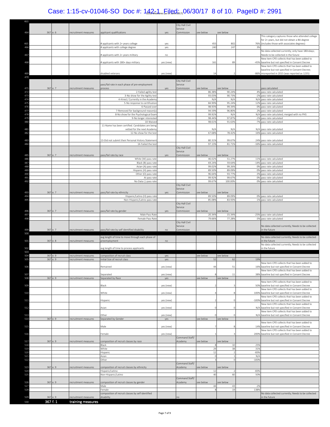# Case: 1:15-cv-01046-SO Doc #:  $1.42 - 1.42$   $1.42 - 0.06/30/17$  8 of 10. PageID #: 2991

| 463        |                 |      |                                             |                                                                          |            | City Hall Civil            |                     |                      |                |                                                                                                    |
|------------|-----------------|------|---------------------------------------------|--------------------------------------------------------------------------|------------|----------------------------|---------------------|----------------------|----------------|----------------------------------------------------------------------------------------------------|
| 464        | 367             | e. 6 | recruitment measures                        | applicant qualifications                                                 | ves        | Service<br>Commission      | see below           | see below            |                |                                                                                                    |
|            |                 |      |                                             |                                                                          |            |                            |                     |                      |                | This category captures those who attended college<br>for 2+ years, but did not obtain a BA degree  |
| 465<br>466 |                 |      |                                             | # applicants with 2+ years college<br># applicants with college degree   | yes        |                            | 455<br>240          | 802<br>247           | 76%<br>3%      | (includes those with associates degrees)                                                           |
|            |                 |      |                                             |                                                                          | yes        |                            |                     |                      |                | No data collected currently; only have 180+days;                                                   |
| 467        |                 |      |                                             | # applicants with 2+ years military                                      | no         |                            |                     |                      |                | Needs to be collected in the future<br>New item CPD collects that has been added to                |
| 468        |                 |      |                                             | # applicants with 180+ days military                                     | yes (new)  |                            | 161                 | 89                   | $-45%$         | baseline but not specified in Consent Decree                                                       |
|            |                 |      |                                             |                                                                          |            |                            |                     |                      |                | New item CPD collects that has been added to<br>baseline but not specified in Consent Decree;      |
| 469        |                 |      |                                             | disabled veterans                                                        | yes (new)  |                            | 14                  |                      |                | -86% misreported in 2015 (was reported as 1235)                                                    |
| 470        |                 |      |                                             |                                                                          |            | City Hall Civil            |                     |                      |                |                                                                                                    |
|            |                 |      |                                             | pass/fail rate in each phase of pre-employment                           |            | Service                    |                     |                      |                | pass calculated                                                                                    |
| 471<br>472 | 367             | e. 7 | ecruitment measures                         | process<br>2-Failed agility test                                         | yes        | Commission                 | see below<br>86.389 | ee below<br>90.24%   | 4%             | pass rate calculated                                                                               |
| 473<br>474 |                 |      |                                             | 3-No show for the Agility test<br>4-Hired / Currently in the Academy     |            |                            | 93.03%<br>N/A       | 90.73%<br>N/A        | $-2%$<br>N/A   | pass rate calculated<br>pass rate calculated                                                       |
| 475        |                 |      |                                             | 5-No response to certification                                           |            |                            | 84.99%              | 95.24%               | 12%            | pass rate calculated                                                                               |
| 476<br>477 |                 |      |                                             | 6-Passed over<br>7-Removed for background reason(s)                      |            |                            | 98.93%<br>94.59%    | 99.34%<br>96.80%     | 0%<br>2%       | pass rate calculated<br>pass rate calculated                                                       |
| 478        |                 |      |                                             | 8-No show for the Psychological Exam                                     |            |                            | 99.92%              | N/A                  | N/A            | pass rate calculated; merged with no PHS                                                           |
| 479<br>480 |                 |      |                                             | 9-No longer interested<br>10-Waived                                      |            |                            | 98.44%<br>98.61%    | 97.87%<br>91.63%     | $-1%$<br>$-7%$ | pass rate calculated<br>pass rate calculated                                                       |
|            |                 |      |                                             | 11-Name has been certified. Candidates are being                         |            |                            |                     |                      |                |                                                                                                    |
| 481<br>482 |                 |      |                                             | vetted for the next Academy<br>12-No show for the test                   |            |                            | N/A<br>67.68%       | N/A<br>78.42%        | 16%            | N/A pass rate calculated<br>pass rate calculated                                                   |
|            |                 |      |                                             |                                                                          |            |                            |                     |                      |                |                                                                                                    |
| 483<br>484 |                 |      |                                             | 13-Did not submit their Personal History Statement<br>14-Failed the test |            |                            | 80.31%<br>97.13%    | 99.67%<br>81.71%     | 24%<br>$-16%$  | pass rate calculated<br>pass rate calculated                                                       |
|            |                 |      |                                             |                                                                          |            | City Hall Civil            |                     |                      |                |                                                                                                    |
| 485        | 367             | e. 7 | recruitment measures                        | pass/fail rate by race                                                   | yes        | Service<br>Commission      | see below           | ee below             |                |                                                                                                    |
| 486        |                 |      |                                             | White (W) pass rate                                                      |            |                            | 46.029              | 51.27%               | 11%            | pass rate calculated                                                                               |
| 487<br>488 |                 |      |                                             | Black (B) pass rate<br>Asian (A) pass rate                               |            |                            | 69.24%<br>99.02%    | 59.64%<br>99.26%     | $-14%$<br>0%   | pass rate calculated<br>pass rate calculated                                                       |
| 489<br>490 |                 |      |                                             | Hispanic (H) pass rate                                                   |            |                            | 89.50%<br>96.649    | 89.09%<br>93.77%     | 0%<br>$-3%$    | pass rate calculated                                                                               |
| 491        |                 |      |                                             | Other (O) pass rate<br>Al pass rate                                      |            |                            | 99.92%              | 99.67%               | 0%             | pass rate calculated<br>pass rate calculated                                                       |
| 492        |                 |      |                                             | No Data (.) pass rate                                                    |            | City Hall Civil            | 99.67%              | 100.00%              | 0%             | pass rate calculated                                                                               |
|            |                 |      |                                             |                                                                          |            | Service                    |                     |                      |                |                                                                                                    |
| 493<br>494 | 367 e.7         |      | recruitment measures                        | pass/fail rate by ethnicity<br>Hispanic/Latino (H) pass rate             | yes        | Commission                 | see below<br>89.50% | ee below<br>89.099   | 0%             | pass rate calculated                                                                               |
| 495        |                 |      |                                             | Non-Hispanic/Latino pass rate                                            |            |                            | 85.089              | 83.93%               |                | -1% pass rate calculated                                                                           |
|            |                 |      |                                             |                                                                          |            | City Hall Civil<br>Service |                     |                      |                |                                                                                                    |
| 496        | 367             | e. 7 | ecruitment measures                         | pass/fail rate by gender                                                 | yes        | Commission                 | ee below            | ee below             |                |                                                                                                    |
| 497<br>498 |                 |      |                                             | Male Pass Rate<br>Female Pass Rat                                        |            |                            | 20.34%<br>79.669    | 15.34%<br>77.28%     | $-3%$          | -25% pass rate calculated<br>pass rate calculated                                                  |
|            |                 |      |                                             |                                                                          |            | City Hall Civil            |                     |                      |                |                                                                                                    |
| 499        | 367 e.7         |      | recruitment measures                        | pass/fail rate by self identified disability                             | no         | Service<br>Commission      |                     |                      |                | No data collected currently; Needs to be collected<br>in the future                                |
| 500        |                 |      |                                             |                                                                          |            |                            |                     |                      |                | No data collected currently; Needs to be collected                                                 |
| 501        | 367             | e. 8 | ecruitment measures                         | avg length of time to move through each phase of<br>preemployment        | no         |                            |                     |                      |                | in the future                                                                                      |
| 502        |                 |      |                                             | avg length of time to process applicants                                 |            |                            |                     |                      |                | No data collected currently; Needs to be collected<br>in the future                                |
| 503        |                 |      |                                             |                                                                          |            |                            |                     |                      |                |                                                                                                    |
| 504<br>505 | 367 e. 9<br>367 | e. 9 | recruitment measures<br>ecruitment measures | composition of recruit class<br>Initial Size of recruit class            | yes<br>yes |                            | see below<br>52     | see below<br>62      | 19%            |                                                                                                    |
|            |                 |      |                                             |                                                                          |            |                            |                     |                      |                | New item CPD collects that has been added to                                                       |
| 506        |                 |      |                                             | Remained                                                                 | yes (new)  |                            | 44                  | 51                   |                | 16% baseline but not specified in Consent Decree<br>New item CPD collects that has been added to   |
| 507<br>508 | 367 e. 9        |      |                                             | Separated                                                                | yes (new)  |                            |                     | 11                   |                | 38% baseline but not specified in Consent Decree                                                   |
|            |                 |      | ecruitment measures                         | Separated by Race                                                        | yes        |                            | see below           | ee below             |                | New item CPD collects that has been added to                                                       |
| 509        |                 |      |                                             | Black                                                                    | yes (new)  |                            |                     |                      | 50%            | baseline but not specified in Consent Decree<br>New item CPD collects that has been added to       |
| 510        |                 |      |                                             | White                                                                    | yes (new)  |                            |                     | я                    |                | 100% baseline but not specified in Consent Decree                                                  |
| 511        |                 |      |                                             | Hispanic                                                                 | yes (new)  |                            |                     | $\Omega$             |                | New item CPD collects that has been added to<br>-100% baseline but not specified in Consent Decree |
|            |                 |      |                                             |                                                                          |            |                            |                     |                      |                | New item CPD collects that has been added to                                                       |
| 512        |                 |      |                                             | Asian                                                                    | yes (new)  |                            |                     |                      | N/A            | baseline but not specified in Consent Decree<br>New item CPD collects that has been added to       |
| 513        |                 |      |                                             | Other                                                                    | yes (new)  |                            |                     |                      |                | N/A baseline but not specified in Consent Decree                                                   |
| 514        | 367 e. 9        |      | recruitment measures                        | Separated by Gender                                                      | yes        |                            | see below           | see below            |                | New item CPD collects that has been added to                                                       |
| 515        |                 |      |                                             | Male                                                                     | yes (new)  |                            |                     |                      |                | 14% baseline but not specified in Consent Decree<br>New item CPD collects that has been added to   |
| 516        |                 |      |                                             | Female                                                                   | yes (new)  |                            |                     |                      | 200%           | baseline but not specified in Consent Decree                                                       |
| 517        | 367 e. 9        |      | recruitment measures                        | composition of recruit classes by race                                   |            | Command Staff/<br>Academy  | see below           | ee below             |                |                                                                                                    |
| 518        |                 |      |                                             | Black                                                                    |            |                            |                     | 10                   | 25%            |                                                                                                    |
| 519<br>520 |                 |      |                                             | White<br>Hispanic                                                        |            |                            | 29<br>12            | 38<br>$\overline{2}$ | 31%<br>$-83%$  |                                                                                                    |
| 521        |                 |      |                                             | Asian                                                                    |            |                            |                     | $\overline{1}$       | N/A            |                                                                                                    |
| 522        |                 |      |                                             | Other                                                                    |            | Command Staff/             |                     | $\circ$              | $-100%$        |                                                                                                    |
| 523        | 367             | e. 9 | recruitment measures                        | composition of recruit classes by ethnicity                              |            | Academy                    | see below           | ee below             |                |                                                                                                    |
| 524<br>525 |                 |      |                                             | Hispanic/Latino<br>Non-Hispanic/Latino                                   |            |                            | 12<br>40            | 60                   | $-83%$<br>50%  |                                                                                                    |
|            |                 |      |                                             |                                                                          |            | Command Staff/             |                     |                      |                |                                                                                                    |
| 526<br>527 | 367             | e. 9 | recruitment measures                        | composition of recruit classes by gender<br>Male                         |            | Academy                    | see below<br>44     | ee below<br>43       | $-2%$          |                                                                                                    |
| 528        |                 |      |                                             | Female                                                                   |            |                            |                     | 19                   | 138%           |                                                                                                    |
|            | 367 e. 9        |      | recruitment measures                        | composition of recruit classes by self identified<br>disability          |            | no                         |                     |                      |                | No data collected currently; Needs to be collected<br>in the future                                |
| 529        |                 |      |                                             |                                                                          |            |                            |                     |                      |                |                                                                                                    |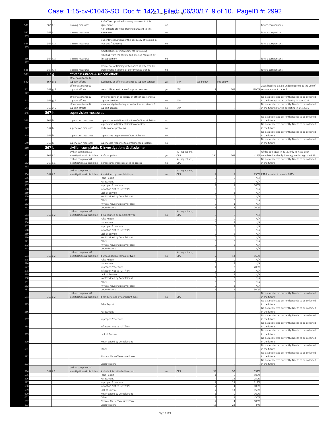# Case: 1:15-cv-01046-SO Doc #: 142-1 Filed: 06/30/17 9 of 10. PageID #: 2992

| 531               | 367 f. 1           |                | training measures                                         | # of officers provided training pursuant to this<br>agreement                                   | no  |                         |                          |                   |                 | uture comparisons                                                                                                        |
|-------------------|--------------------|----------------|-----------------------------------------------------------|-------------------------------------------------------------------------------------------------|-----|-------------------------|--------------------------|-------------------|-----------------|--------------------------------------------------------------------------------------------------------------------------|
| 532               | 367 f. 1           |                | raining measures                                          | % of officers provided training pursuant to this<br>agreement                                   | no  |                         |                          |                   |                 | uture comparisons                                                                                                        |
| 533<br>534        | 367 f. 2           |                | training measures                                         | students' evaluations of the adequacy of training in<br>type and frequency                      | no  |                         |                          |                   |                 | future comparisons                                                                                                       |
| 535               |                    |                |                                                           | modifications or improvements to training<br>resulting from the review and analysis required by |     |                         |                          |                   |                 |                                                                                                                          |
| 536<br>537        | 367 f. 3           |                | training measures                                         | this agreement<br>prevalence of training deficiencies as reflected by                           | no  |                         |                          |                   |                 | future comparisons                                                                                                       |
| 538<br>539        | 367 f. 4<br>367 g. |                | training measures<br>officer assistance & support efforts | problematic incidents or performance trends                                                     | no  |                         |                          |                   |                 | future comparisons                                                                                                       |
|                   | 367                |                | officer assistance &                                      |                                                                                                 |     | EAP                     |                          |                   |                 |                                                                                                                          |
| 540               |                    |                | support efforts<br>officer assistance &                   | availability of officer assistance & support services                                           | yes |                         | ee below                 | ee below          |                 | 2015 baseline data is underreported as the use of                                                                        |
| 541<br>542        | 367 g. 1           |                | support efforts                                           | use of officer assistance & support services                                                    | yes | EAP                     | 11                       | 209               |                 | 1800% service was not tracked.                                                                                           |
| 543               | 367 g. 2           |                | officer assistance &<br>support efforts                   | officer reports of adequacy of officer assistance &<br>support services                         | no  | EAP                     |                          |                   |                 | No data collected currently; Needs to be collected<br>n the future; Started collecting in late 2016                      |
| 544               | 367 g. 2           |                | officer assistance &<br>support efforts                   | survey analysis of adequacy of officer assistance &<br>support services                         | no  | EAP                     |                          |                   |                 | No data collected currently; Needs to be collected<br>in the future; Started collecting in late 2016                     |
| 545               | 367 h.             |                | supervision measures                                      |                                                                                                 |     |                         |                          |                   |                 |                                                                                                                          |
| 546               | 367                |                | supervision measures                                      | supervisors initial identification of officer violations                                        | no  |                         |                          |                   |                 | No data collected currently; Needs to be collected<br>n the future                                                       |
| 547               | 367                |                | supervision measures                                      | supervisors initial identification of officer<br>performance problems                           | no  |                         |                          |                   |                 | No data collected currently; Needs to be collected<br>n the future                                                       |
| 548               | 367                |                | supervision measures                                      | supervisors response to officer violations                                                      | no  |                         |                          |                   |                 | No data collected currently; Needs to be collected<br>n the future                                                       |
| 549               | 367h               |                | supervision measures                                      | supervisors response to performance problems                                                    | no  |                         |                          |                   |                 | No data collected currently; Needs to be collected<br>in the future                                                      |
| 550               | 367 i.             |                |                                                           | civilian complaints & investigations & discipline                                               |     |                         |                          |                   |                 |                                                                                                                          |
| 551               | 367                | i. 1           | civilian complaints &<br>investigations & discipline      | # of complaints                                                                                 | yes | IA, Inspections,<br>OPS | 294                      | 263               |                 | Of the 294 cases in 2015, only 45 have been<br>-11% completed and only 4 have gone through the PRB                       |
| 552               | 367 i. 1           |                | civilian complaints &<br>investigations & discipline      | increases/decreases related to access                                                           | no  | IA, Inspections,<br>OPS |                          |                   |                 | No data collected currently; Needs to be collected<br>in the future                                                      |
| 553               |                    |                | civilian complaints &                                     |                                                                                                 |     | IA, Inspections,        |                          |                   |                 |                                                                                                                          |
| 554               | 367                | $\overline{2}$ | investigations & discipline                               | # sustained by complaint type                                                                   | no  | <b>OPS</b>              |                          |                   | 250%            | PRB looked at 4 cases in 2015                                                                                            |
| 555<br>556        |                    |                |                                                           | False Report<br>Harassment                                                                      |     |                         |                          | $\Omega$          | N/A<br>N/A      |                                                                                                                          |
| 557<br>558        |                    |                |                                                           | mproper Procedure<br>nfraction Notice (UTT/PIN)                                                 |     |                         |                          |                   | 100%<br>N/A     |                                                                                                                          |
| 559<br>560        |                    |                |                                                           | Lack of Service<br>Not Provided by Complainant                                                  |     |                         |                          | $\Omega$          | N/A<br>N/A      |                                                                                                                          |
| 561<br>562        |                    |                |                                                           | Other<br>Physical Abuse/Excessive Force                                                         |     |                         |                          | $\Omega$          | N/A<br>N/A      |                                                                                                                          |
| 563               |                    |                |                                                           | <b>Jnprofessional</b>                                                                           |     |                         |                          |                   | 200%            |                                                                                                                          |
| 564               | 367                | $\overline{2}$ | civilian complaints &<br>investigations & discipline      | # exonerated by complaint type                                                                  | no  | IA, Inspections,<br>OPS |                          |                   | N/A             |                                                                                                                          |
| 565<br>566        |                    |                |                                                           | False Report<br>Harassment                                                                      |     |                         | $\cap$<br>$\Omega$       | $\Omega$          | N/A<br>N/A      |                                                                                                                          |
| 567<br>568        |                    |                |                                                           | mproper Procedure<br>nfraction Notice (UTT/PIN)                                                 |     |                         |                          |                   | N/A<br>N/A      |                                                                                                                          |
| <b>569</b>        |                    |                |                                                           | Lack of Service                                                                                 |     |                         |                          |                   | N/A             |                                                                                                                          |
| <b>570</b><br>571 |                    |                |                                                           | Not Provided by Complainant<br>Other                                                            |     |                         |                          |                   | N/A<br>N/A      |                                                                                                                          |
| 572<br>573        |                    |                |                                                           | Physical Abuse/Excessive Force<br>Unprofessional                                                |     |                         |                          | $\Omega$          | N/A<br>N/A      |                                                                                                                          |
| 574               | 367                | i. 2           | civilian complaints &<br>nvestigations & discipline       | # unfounded by complaint type                                                                   | no  | IA, Inspections,<br>OPS |                          | 13                | 550%            |                                                                                                                          |
| 575<br>576        |                    |                |                                                           | False Report<br>Harassment                                                                      |     |                         |                          | $\circ$           | N/A<br>N/A      |                                                                                                                          |
| 577               |                    |                |                                                           | mproper Procedure                                                                               |     |                         |                          |                   | 200%            |                                                                                                                          |
| 578<br>579        |                    |                |                                                           | Infraction Notice (UTT/PIN)<br>Lack of Service                                                  |     |                         | C                        | $\Omega$          | N/A<br>N/A      |                                                                                                                          |
| 580<br>581        |                    |                |                                                           | Not Provided by Complainant<br>Other                                                            |     |                         | $\epsilon$<br>$\epsilon$ | 0                 | N/A<br>N/A      |                                                                                                                          |
| 582<br>583        |                    |                |                                                           | Physical Abuse/Excessive Force<br>Unprofessional                                                |     |                         | ſ                        |                   | N/A<br>300%     |                                                                                                                          |
| 584               | 367                | $\cdot$ 2      | civilian complaints &<br>investigations & discipline      | # not sustained by complaint type                                                               | no  | OPS                     |                          |                   |                 | No data collected currently; Needs to be collected<br>in the future                                                      |
| 585               |                    |                |                                                           | False Report                                                                                    |     |                         |                          |                   |                 | No data collected currently; Needs to be collected<br>n the future                                                       |
| 586               |                    |                |                                                           | Harassment                                                                                      |     |                         |                          |                   |                 | No data collected currently; Needs to be collected<br>n the future                                                       |
| 587               |                    |                |                                                           | mproper Procedure                                                                               |     |                         |                          |                   |                 | No data collected currently; Needs to be collected<br>in the future                                                      |
| 588               |                    |                |                                                           | nfraction Notice (UTT/PIN)                                                                      |     |                         |                          |                   |                 | No data collected currently; Needs to be collected<br>n the future                                                       |
| 589               |                    |                |                                                           | ack of Service                                                                                  |     |                         |                          |                   |                 | No data collected currently; Needs to be collected<br>n the future                                                       |
| 590               |                    |                |                                                           | Not Provided by Complainant                                                                     |     |                         |                          |                   |                 | No data collected currently; Needs to be collected<br>in the future                                                      |
| 591               |                    |                |                                                           | Other                                                                                           |     |                         |                          |                   |                 | No data collected currently; Needs to be collected<br>n the future                                                       |
| 592               |                    |                |                                                           | Physical Abuse/Excessive Force                                                                  |     |                         |                          |                   |                 | No data collected currently; Needs to be collected<br>n the future<br>No data collected currently; Needs to be collected |
| 593               |                    |                | civilian complaints &                                     | <b>Jnprofessional</b>                                                                           |     |                         |                          |                   |                 | n the future                                                                                                             |
| 594<br>595        | 367                | i. 2           | investigations & discipline                               | # of administratively dismissed<br>False Report                                                 | no  | OPS                     | 39                       | 90<br>$\Omega$    | 131%<br>$-100%$ |                                                                                                                          |
| 596<br>597        |                    |                |                                                           | Harassment<br>mproper Procedure                                                                 |     |                         |                          | 14<br>28          | 250%<br>211%    |                                                                                                                          |
| 598               |                    |                |                                                           | nfraction Notice (UTT/PIN)                                                                      |     |                         |                          | $\Delta$          | 100%            |                                                                                                                          |
| 599<br>600        |                    |                |                                                           | Lack of Service<br>Not Provided by Complainant                                                  |     |                         |                          | 13<br>$\mathbf 0$ | 550%<br>$-100%$ |                                                                                                                          |
| 601<br>602        |                    |                |                                                           | Other<br>Physical Abuse/Excessive Force                                                         |     |                         |                          | $\overline{4}$    | $-50%$<br>100%  |                                                                                                                          |
| 603               |                    |                |                                                           | Unprofessional                                                                                  |     |                         | 16                       | 23                | 44%             |                                                                                                                          |